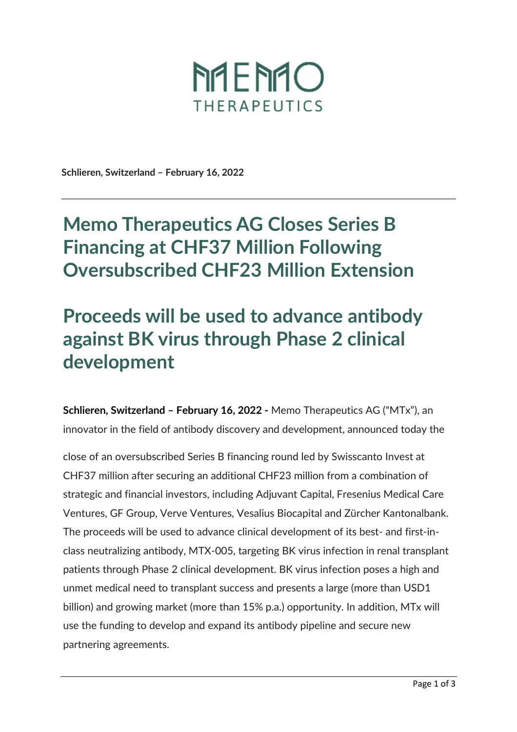

**Schlieren, Switzerland – February 16, 2022** 

## **Memo Therapeutics AG Closes Series B Financing at CHF37 Million Following Oversubscribed CHF23 Million Extension**

## **Proceeds will be used to advance antibody against BK virus through Phase 2 clinical development**

**Schlieren, Switzerland – February 16, 2022 -** Memo Therapeutics AG ("MTx"), an innovator in the field of antibody discovery and development, announced today the

close of an oversubscribed Series B financing round led by Swisscanto Invest at CHF37 million after securing an additional CHF23 million from a combination of strategic and financial investors, including Adjuvant Capital, Fresenius Medical Care Ventures, GF Group, Verve Ventures, Vesalius Biocapital and Zürcher Kantonalbank. The proceeds will be used to advance clinical development of its best- and first-inclass neutralizing antibody, MTX-005, targeting BK virus infection in renal transplant patients through Phase 2 clinical development. BK virus infection poses a high and unmet medical need to transplant success and presents a large (more than USD1 billion) and growing market (more than 15% p.a.) opportunity. In addition, MTx will use the funding to develop and expand its antibody pipeline and secure new partnering agreements.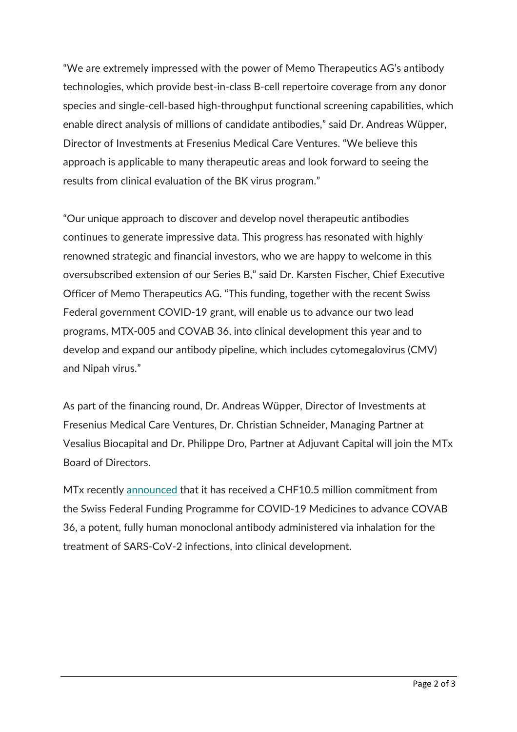"We are extremely impressed with the power of Memo Therapeutics AG's antibody technologies, which provide best-in-class B-cell repertoire coverage from any donor species and single-cell-based high-throughput functional screening capabilities, which enable direct analysis of millions of candidate antibodies," said Dr. Andreas Wüpper, Director of Investments at Fresenius Medical Care Ventures. "We believe this approach is applicable to many therapeutic areas and look forward to seeing the results from clinical evaluation of the BK virus program."

"Our unique approach to discover and develop novel therapeutic antibodies continues to generate impressive data. This progress has resonated with highly renowned strategic and financial investors, who we are happy to welcome in this oversubscribed extension of our Series B," said Dr. Karsten Fischer, Chief Executive Officer of Memo Therapeutics AG. "This funding, together with the recent Swiss Federal government COVID-19 grant, will enable us to advance our two lead programs, MTX-005 and COVAB 36, into clinical development this year and to develop and expand our antibody pipeline, which includes cytomegalovirus (CMV) and Nipah virus."

As part of the financing round, Dr. Andreas Wüpper, Director of Investments at Fresenius Medical Care Ventures, Dr. Christian Schneider, Managing Partner at Vesalius Biocapital and Dr. Philippe Dro, Partner at Adjuvant Capital will join the MTx Board of Directors.

MTx recently announced that it has received a CHF10.5 million commitment from the Swiss Federal Funding Programme for COVID-19 Medicines to advance COVAB 36, a potent, fully human monoclonal antibody administered via inhalation for the treatment of SARS-CoV-2 infections, into clinical development.